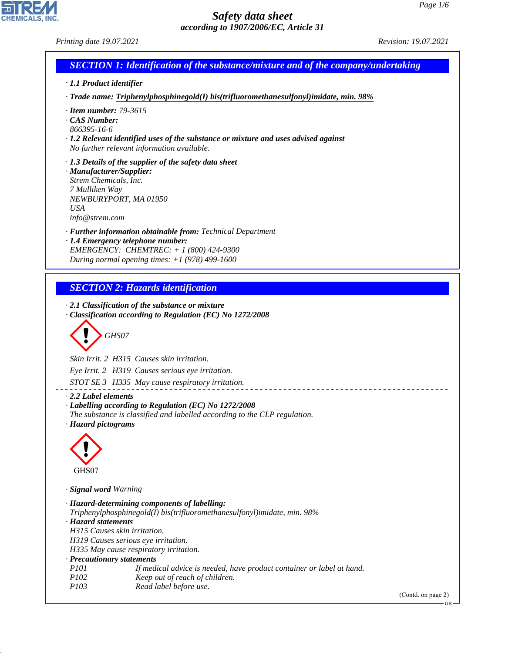GB

# *Safety data sheet according to 1907/2006/EC, Article 31*

**EN REAL** 

44.1.1

| Printing date 19.07.2021                                                                            |                                                                                                                                                                                                                                                                                                                                                                                     | Revision: 19.07.2021 |
|-----------------------------------------------------------------------------------------------------|-------------------------------------------------------------------------------------------------------------------------------------------------------------------------------------------------------------------------------------------------------------------------------------------------------------------------------------------------------------------------------------|----------------------|
|                                                                                                     | <b>SECTION 1: Identification of the substance/mixture and of the company/undertaking</b>                                                                                                                                                                                                                                                                                            |                      |
| $\cdot$ 1.1 Product identifier                                                                      |                                                                                                                                                                                                                                                                                                                                                                                     |                      |
|                                                                                                     | · Trade name: Triphenylphosphinegold(I) bis(trifluoromethanesulfonyl)imidate, min. 98%                                                                                                                                                                                                                                                                                              |                      |
| $\cdot$ Item number: 79-3615<br>CAS Number:<br>866395-16-6                                          | · 1.2 Relevant identified uses of the substance or mixture and uses advised against<br>No further relevant information available.                                                                                                                                                                                                                                                   |                      |
| · Manufacturer/Supplier:<br>Strem Chemicals, Inc.<br>7 Mulliken Way<br><b>USA</b><br>info@strem.com | · 1.3 Details of the supplier of the safety data sheet<br>NEWBURYPORT, MA 01950                                                                                                                                                                                                                                                                                                     |                      |
|                                                                                                     | · Further information obtainable from: Technical Department<br>· 1.4 Emergency telephone number:<br>EMERGENCY: CHEMTREC: + 1 (800) 424-9300<br>During normal opening times: $+1$ (978) 499-1600                                                                                                                                                                                     |                      |
|                                                                                                     | <b>SECTION 2: Hazards identification</b>                                                                                                                                                                                                                                                                                                                                            |                      |
|                                                                                                     | $\cdot$ 2.1 Classification of the substance or mixture<br>· Classification according to Regulation (EC) No 1272/2008<br>GHS07<br>Skin Irrit. 2 H315 Causes skin irritation.<br>Eye Irrit. 2 H319 Causes serious eye irritation.<br>STOT SE 3 H335 May cause respiratory irritation.                                                                                                 |                      |
| $\cdot$ 2.2 Label elements<br>· Hazard pictograms                                                   | · Labelling according to Regulation (EC) No 1272/2008<br>The substance is classified and labelled according to the CLP regulation.                                                                                                                                                                                                                                                  |                      |
| GHS07                                                                                               |                                                                                                                                                                                                                                                                                                                                                                                     |                      |
| · Signal word Warning                                                                               |                                                                                                                                                                                                                                                                                                                                                                                     |                      |
| · Hazard statements<br>P101<br>P102                                                                 | · Hazard-determining components of labelling:<br>Triphenylphosphinegold(I) bis(trifluoromethanesulfonyl)imidate, min. 98%<br>H315 Causes skin irritation.<br>H319 Causes serious eye irritation.<br>H335 May cause respiratory irritation.<br>· Precautionary statements<br>If medical advice is needed, have product container or label at hand.<br>Keep out of reach of children. |                      |
| P103                                                                                                | Read label before use.                                                                                                                                                                                                                                                                                                                                                              | (Contd. on page 2)   |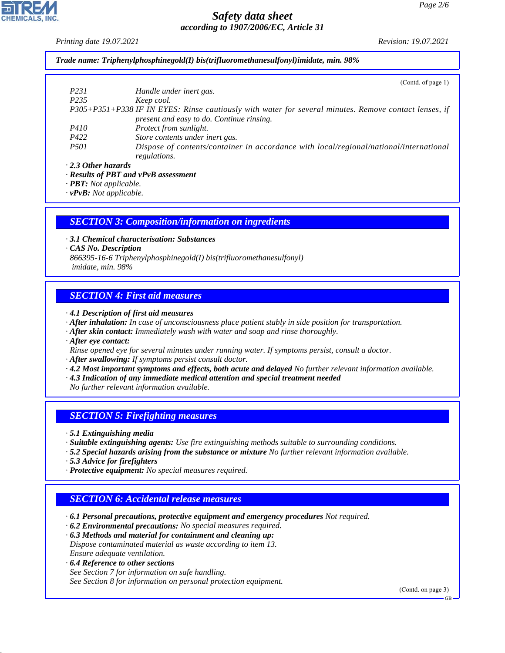*Printing date 19.07.2021 Revision: 19.07.2021*

*Trade name: Triphenylphosphinegold(I) bis(trifluoromethanesulfonyl)imidate, min. 98%*

|                           | (Contd. of page 1)                                                                                    |
|---------------------------|-------------------------------------------------------------------------------------------------------|
| P231                      | Handle under inert gas.                                                                               |
| P <sub>235</sub>          | Keep cool.                                                                                            |
|                           | P305+P351+P338 IF IN EYES: Rinse cautiously with water for several minutes. Remove contact lenses, if |
|                           | present and easy to do. Continue rinsing.                                                             |
| <i>P410</i>               | Protect from sunlight.                                                                                |
| P422                      | Store contents under inert gas.                                                                       |
| <i>P501</i>               | Dispose of contents/container in accordance with local/regional/national/international                |
|                           | regulations.                                                                                          |
| $\cdot$ 2.3 Other hazards |                                                                                                       |

*· Results of PBT and vPvB assessment*

*· PBT: Not applicable.*

*· vPvB: Not applicable.*

## *SECTION 3: Composition/information on ingredients*

*· 3.1 Chemical characterisation: Substances*

*· CAS No. Description*

*866395-16-6 Triphenylphosphinegold(I) bis(trifluoromethanesulfonyl) imidate, min. 98%*

# *SECTION 4: First aid measures*

*· 4.1 Description of first aid measures*

- *· After inhalation: In case of unconsciousness place patient stably in side position for transportation.*
- *· After skin contact: Immediately wash with water and soap and rinse thoroughly.*
- *· After eye contact:*
- *Rinse opened eye for several minutes under running water. If symptoms persist, consult a doctor.*
- *· After swallowing: If symptoms persist consult doctor.*
- *· 4.2 Most important symptoms and effects, both acute and delayed No further relevant information available.*
- *· 4.3 Indication of any immediate medical attention and special treatment needed*
- *No further relevant information available.*

# *SECTION 5: Firefighting measures*

*· 5.1 Extinguishing media*

- *· Suitable extinguishing agents: Use fire extinguishing methods suitable to surrounding conditions.*
- *· 5.2 Special hazards arising from the substance or mixture No further relevant information available.*
- *· 5.3 Advice for firefighters*
- *· Protective equipment: No special measures required.*

# *SECTION 6: Accidental release measures*

*· 6.1 Personal precautions, protective equipment and emergency procedures Not required.*

*· 6.2 Environmental precautions: No special measures required.*

*· 6.3 Methods and material for containment and cleaning up: Dispose contaminated material as waste according to item 13. Ensure adequate ventilation.*

*· 6.4 Reference to other sections*

44.1.1

*See Section 7 for information on safe handling. See Section 8 for information on personal protection equipment.*

(Contd. on page 3)

GB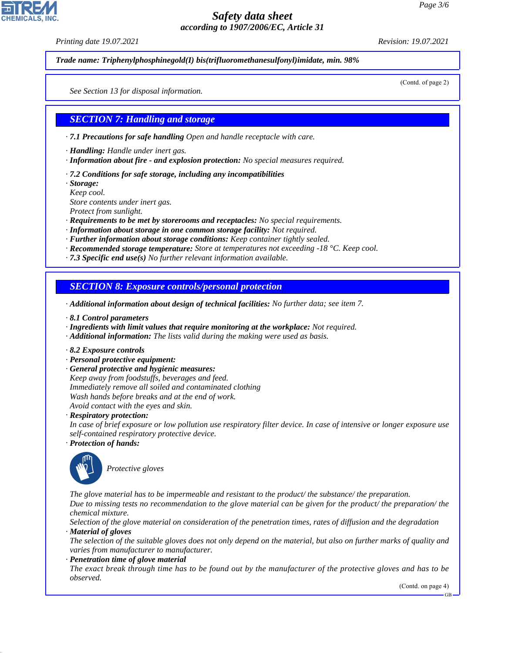*Printing date 19.07.2021 Revision: 19.07.2021*

*Trade name: Triphenylphosphinegold(I) bis(trifluoromethanesulfonyl)imidate, min. 98%*

(Contd. of page 2)

*See Section 13 for disposal information.*

### *SECTION 7: Handling and storage*

*· 7.1 Precautions for safe handling Open and handle receptacle with care.*

*· Handling: Handle under inert gas.*

- *· Information about fire and explosion protection: No special measures required.*
- *· 7.2 Conditions for safe storage, including any incompatibilities*

*· Storage:*

*Keep cool.*

*Store contents under inert gas.*

*Protect from sunlight.*

- *· Requirements to be met by storerooms and receptacles: No special requirements.*
- *· Information about storage in one common storage facility: Not required.*
- *· Further information about storage conditions: Keep container tightly sealed.*
- *· Recommended storage temperature: Store at temperatures not exceeding -18 °C. Keep cool.*
- *· 7.3 Specific end use(s) No further relevant information available.*

#### *SECTION 8: Exposure controls/personal protection*

- *· Additional information about design of technical facilities: No further data; see item 7.*
- *· 8.1 Control parameters*
- *· Ingredients with limit values that require monitoring at the workplace: Not required.*
- *· Additional information: The lists valid during the making were used as basis.*
- *· 8.2 Exposure controls*
- *· Personal protective equipment:*
- *· General protective and hygienic measures:*

*Keep away from foodstuffs, beverages and feed. Immediately remove all soiled and contaminated clothing Wash hands before breaks and at the end of work. Avoid contact with the eyes and skin.*

*· Respiratory protection:*

*In case of brief exposure or low pollution use respiratory filter device. In case of intensive or longer exposure use self-contained respiratory protective device.*

*· Protection of hands:*



44.1.1

\_S*Protective gloves*

*The glove material has to be impermeable and resistant to the product/ the substance/ the preparation.*

*Due to missing tests no recommendation to the glove material can be given for the product/ the preparation/ the chemical mixture.*

*Selection of the glove material on consideration of the penetration times, rates of diffusion and the degradation · Material of gloves*

*The selection of the suitable gloves does not only depend on the material, but also on further marks of quality and varies from manufacturer to manufacturer.*

*· Penetration time of glove material*

*The exact break through time has to be found out by the manufacturer of the protective gloves and has to be observed.*

(Contd. on page 4)

GB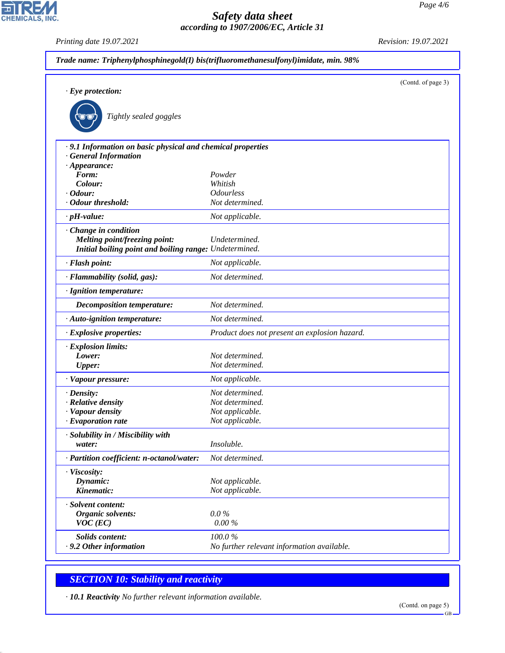*Printing date 19.07.2021 Revision: 19.07.2021*

CHEMICALS, INC.

| Trade name: Triphenylphosphinegold(I) bis(trifluoromethanesulfonyl)imidate, min. 98% |                                               |                    |  |
|--------------------------------------------------------------------------------------|-----------------------------------------------|--------------------|--|
|                                                                                      |                                               | (Contd. of page 3) |  |
| $\cdot$ Eye protection:                                                              |                                               |                    |  |
| Tightly sealed goggles                                                               |                                               |                    |  |
| · 9.1 Information on basic physical and chemical properties                          |                                               |                    |  |
| · General Information                                                                |                                               |                    |  |
| $\cdot$ Appearance:<br>Form:                                                         | Powder                                        |                    |  |
| Colour:                                                                              | Whitish                                       |                    |  |
| $\cdot$ Odour:                                                                       | <b>Odourless</b>                              |                    |  |
| · Odour threshold:                                                                   | Not determined.                               |                    |  |
| $\cdot$ pH-value:                                                                    | Not applicable.                               |                    |  |
| Change in condition                                                                  |                                               |                    |  |
| <b>Melting point/freezing point:</b>                                                 | Undetermined.                                 |                    |  |
| Initial boiling point and boiling range: Undetermined.                               |                                               |                    |  |
| · Flash point:                                                                       | Not applicable.                               |                    |  |
| · Flammability (solid, gas):                                                         | Not determined.                               |                    |  |
| · Ignition temperature:                                                              |                                               |                    |  |
| Decomposition temperature:                                                           | Not determined.                               |                    |  |
| · Auto-ignition temperature:                                                         | Not determined.                               |                    |  |
| · Explosive properties:                                                              | Product does not present an explosion hazard. |                    |  |
| · Explosion limits:                                                                  |                                               |                    |  |
| Lower:                                                                               | Not determined.                               |                    |  |
| <b>Upper:</b>                                                                        | Not determined.                               |                    |  |
| · Vapour pressure:                                                                   | Not applicable.                               |                    |  |
| $\cdot$ Density:                                                                     | Not determined.                               |                    |  |
| · Relative density                                                                   | Not determined.                               |                    |  |
| · Vapour density                                                                     | Not applicable.                               |                    |  |
| $\cdot$ Evaporation rate                                                             | Not applicable.                               |                    |  |
| · Solubility in / Miscibility with                                                   |                                               |                    |  |
| water:                                                                               | Insoluble.                                    |                    |  |
| · Partition coefficient: n-octanol/water:                                            | Not determined.                               |                    |  |
| · Viscosity:                                                                         |                                               |                    |  |
| Dynamic:                                                                             | Not applicable.                               |                    |  |
| Kinematic:                                                                           | Not applicable.                               |                    |  |
| · Solvent content:                                                                   |                                               |                    |  |
| <b>Organic solvents:</b>                                                             | $0.0\%$                                       |                    |  |
| $VOC$ (EC)                                                                           | 0.00%                                         |                    |  |
| <b>Solids content:</b>                                                               | 100.0%                                        |                    |  |
| $\cdot$ 9.2 Other information                                                        | No further relevant information available.    |                    |  |
|                                                                                      |                                               |                    |  |

# *SECTION 10: Stability and reactivity*

44.1.1

*· 10.1 Reactivity No further relevant information available.*

GB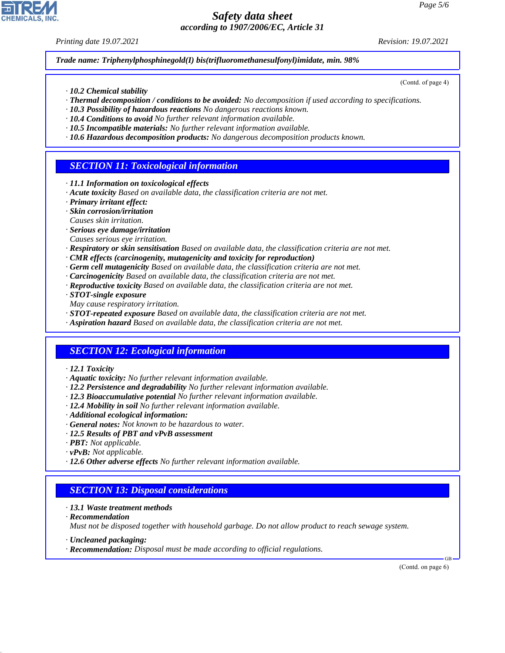*Printing date 19.07.2021 Revision: 19.07.2021*

*Trade name: Triphenylphosphinegold(I) bis(trifluoromethanesulfonyl)imidate, min. 98%*

- *· 10.2 Chemical stability*
- *· Thermal decomposition / conditions to be avoided: No decomposition if used according to specifications.*
- *· 10.3 Possibility of hazardous reactions No dangerous reactions known.*
- *· 10.4 Conditions to avoid No further relevant information available.*
- *· 10.5 Incompatible materials: No further relevant information available.*
- *· 10.6 Hazardous decomposition products: No dangerous decomposition products known.*

## *SECTION 11: Toxicological information*

- *· 11.1 Information on toxicological effects*
- *· Acute toxicity Based on available data, the classification criteria are not met.*
- *· Primary irritant effect:*
- *· Skin corrosion/irritation*
- *Causes skin irritation.*
- *· Serious eye damage/irritation*
- *Causes serious eye irritation.*
- *· Respiratory or skin sensitisation Based on available data, the classification criteria are not met.*
- *· CMR effects (carcinogenity, mutagenicity and toxicity for reproduction)*
- *· Germ cell mutagenicity Based on available data, the classification criteria are not met.*
- *· Carcinogenicity Based on available data, the classification criteria are not met.*
- *· Reproductive toxicity Based on available data, the classification criteria are not met.*
- *· STOT-single exposure*
- *May cause respiratory irritation.*
- *· STOT-repeated exposure Based on available data, the classification criteria are not met.*
- *· Aspiration hazard Based on available data, the classification criteria are not met.*

# *SECTION 12: Ecological information*

- *· 12.1 Toxicity*
- *· Aquatic toxicity: No further relevant information available.*
- *· 12.2 Persistence and degradability No further relevant information available.*
- *· 12.3 Bioaccumulative potential No further relevant information available.*
- *· 12.4 Mobility in soil No further relevant information available.*
- *· Additional ecological information:*
- *· General notes: Not known to be hazardous to water.*
- *· 12.5 Results of PBT and vPvB assessment*
- *· PBT: Not applicable.*
- *· vPvB: Not applicable.*
- *· 12.6 Other adverse effects No further relevant information available.*

# *SECTION 13: Disposal considerations*

- *· 13.1 Waste treatment methods*
- *· Recommendation*

44.1.1

*Must not be disposed together with household garbage. Do not allow product to reach sewage system.*

- *· Uncleaned packaging:*
- *· Recommendation: Disposal must be made according to official regulations.*

(Contd. on page 6)

GB